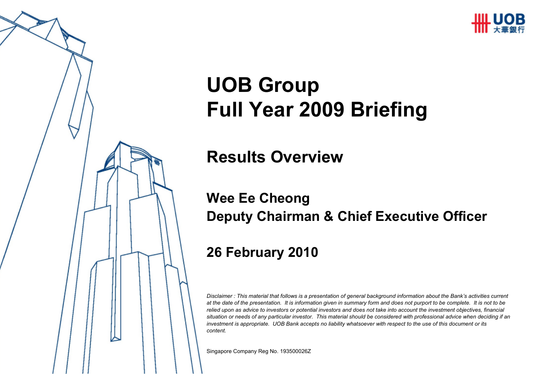

# **UOB GroupFull Year 2009 Briefing**

#### **Results Overview**

#### **Wee Ee CheongDeputy Chairman & Chief Executive Officer**

#### **26 February 2010**

*Disclaimer : This material that follows is a presentation of general background information about the Bank's activities current at the date of the presentation. It is information given in summary form and does not purport to be complete. It is not to be relied upon as advice to investors or potential investors and does not take into account the investment objectives, financial situation or needs of any particular investor. This material should be considered with professional advice when deciding if an investment is appropriate. UOB Bank accepts no liability whatsoever with respect to the use of this document or its content.*

Singapore Company Reg No. 193500026Z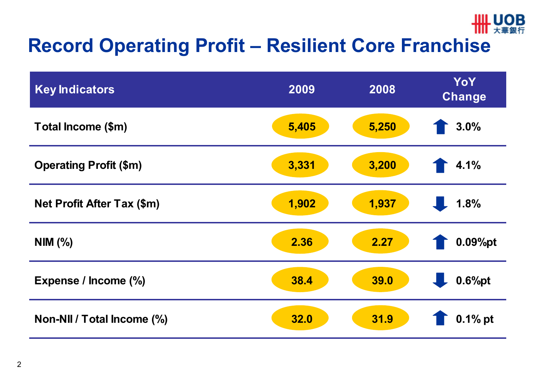

# **Record Operating Profit – Resilient Core Franchise**

| <b>Key Indicators</b>             | 2009  | 2008  | YoY<br><b>Change</b> |
|-----------------------------------|-------|-------|----------------------|
| Total Income (\$m)                | 5,405 | 5,250 | 3.0%                 |
| <b>Operating Profit (\$m)</b>     | 3,331 | 3,200 | 4.1%                 |
| <b>Net Profit After Tax (\$m)</b> | 1,902 | 1,937 | 1.8%                 |
| NIM (%)                           | 2.36  | 2.27  | 0.09%pt              |
| Expense / Income (%)              | 38.4  | 39.0  | 0.6%pt               |
| Non-NII / Total Income (%)        | 32.0  | 31.9  | $0.1\%$ pt           |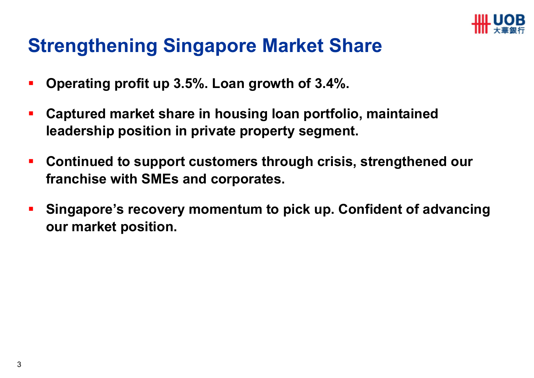

### **Strengthening Singapore Market Share**

- $\blacksquare$ **Operating profit up 3.5%. Loan growth of 3.4%.**
- $\mathcal{L}_{\mathcal{A}}$  **Captured market share in housing loan portfolio, maintained leadership position in private property segment.**
- $\overline{\phantom{a}}$  **Continued to support customers through crisis, strengthened our franchise with SMEs and corporates.**
- **Singapore's recovery momentum to pick up. Confident of advancingour market position.**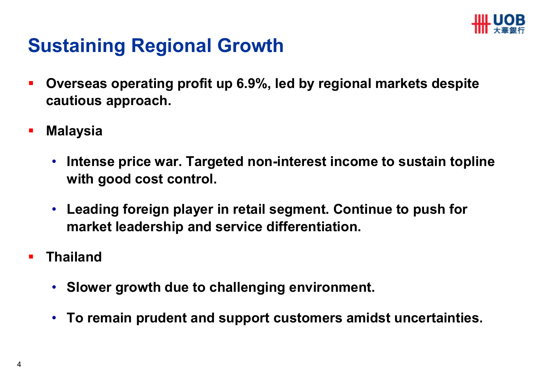

### **Sustaining Regional Growth**

- $\blacksquare$  **Overseas operating profit up 6.9%, led by regional markets despite cautious approach.**
- $\mathcal{L}_{\mathcal{A}}$  **Malaysia**
	- **Intense price war. Targeted non-interest income to sustain toplinewith good cost control.**
	- **Leading foreign player in retail segment. Continue to push for market leadership and service differentiation.**
- $\blacksquare$  **Thailand**
	- **Slower growth due to challenging environment.**
	- **To remain prudent and support customers amidst uncertainties.**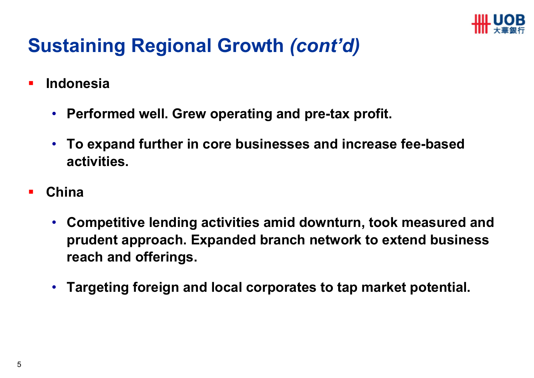

# **Sustaining Regional Growth** *(cont'd)*

- $\blacksquare$  **Indonesia**
	- **Performed well. Grew operating and pre-tax profit.**
	- **To expand further in core businesses and increase fee-based activities.**
- $\blacksquare$  **China**
	- **Competitive lending activities amid downturn, took measured and prudent approach. Expanded branch network to extend business reach and offerings.**
	- **Targeting foreign and local corporates to tap market potential.**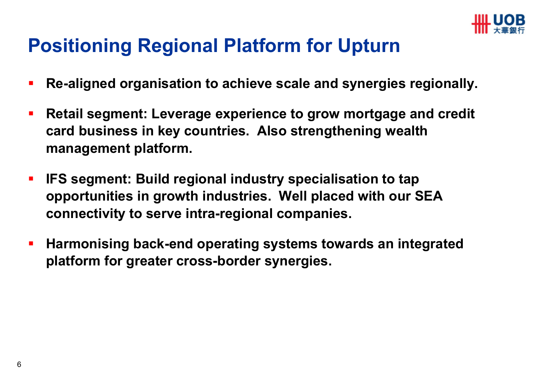

### **Positioning Regional Platform for Upturn**

- $\mathcal{L}_{\mathcal{A}}$ **Re-aligned organisation to achieve scale and synergies regionally.**
- $\overline{\phantom{a}}$  **Retail segment: Leverage experience to grow mortgage and credit card business in key countries. Also strengthening wealth management platform.**
- $\blacksquare$  **IFS segment: Build regional industry specialisation to tap opportunities in growth industries. Well placed with our SEA connectivity to serve intra-regional companies.**
- $\mathcal{L}_{\mathcal{A}}$  **Harmonising back-end operating systems towards an integrated platform for greater cross-border synergies.**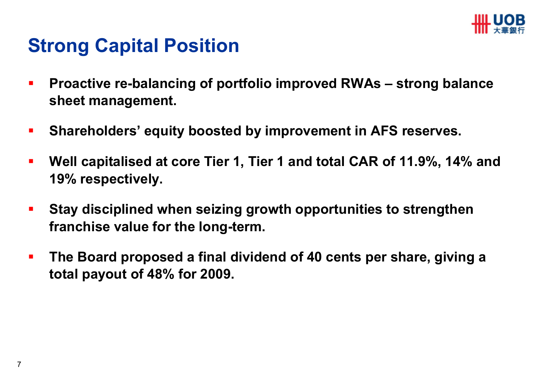

#### **Strong Capital Position**

- $\blacksquare$  **Proactive re-balancing of portfolio improved RWAs – strong balance sheet management.**
- $\mathcal{L}_{\mathcal{A}}$ **Shareholders' equity boosted by improvement in AFS reserves.**
- $\overline{\phantom{a}}$  **Well capitalised at core Tier 1, Tier 1 and total CAR of 11.9%, 14% and 19% respectively.**
- $\mathbf{r}$  **Stay disciplined when seizing growth opportunities to strengthenfranchise value for the long-term.**
- $\overline{\mathcal{L}}$  **The Board proposed a final dividend of 40 cents per share, giving a total payout of 48% for 2009.**